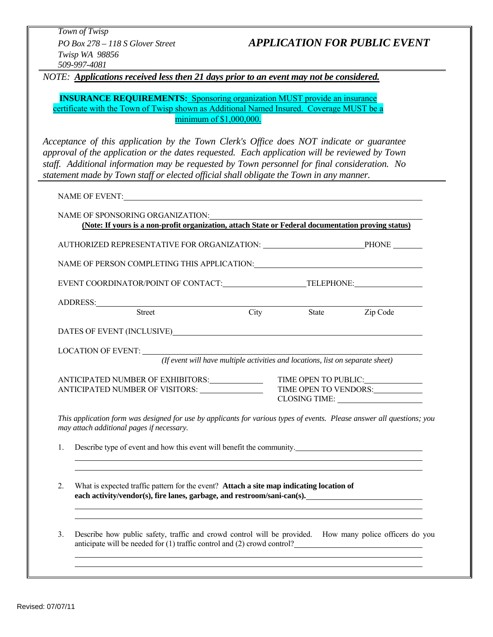*Town of Twisp Twisp WA 98856 509-997-4081* 

# *PO Box 278 – 118 S Glover Street APPLICATION FOR PUBLIC EVENT*

*NOTE: Applications received less then 21 days prior to an event may not be considered.* 

**INSURANCE REQUIREMENTS:** Sponsoring organization MUST provide an insurance certificate with the Town of Twisp shown as Additional Named Insured. Coverage MUST be a minimum of \$1,000,000.

*Acceptance of this application by the Town Clerk's Office does NOT indicate or guarantee approval of the application or the dates requested. Each application will be reviewed by Town staff. Additional information may be requested by Town personnel for final consideration. No statement made by Town staff or elected official shall obligate the Town in any manner.* 

NAME OF EVENT:

|                                                 | NAME OF SPONSORING ORGANIZATION:<br>(Note: If yours is a non-profit organization, attach State or Federal documentation proving status)                                                                                                                  |      |                                                                                |                       |
|-------------------------------------------------|----------------------------------------------------------------------------------------------------------------------------------------------------------------------------------------------------------------------------------------------------------|------|--------------------------------------------------------------------------------|-----------------------|
|                                                 |                                                                                                                                                                                                                                                          |      |                                                                                |                       |
|                                                 | NAME OF PERSON COMPLETING THIS APPLICATION:                                                                                                                                                                                                              |      |                                                                                |                       |
|                                                 | EVENT COORDINATOR/POINT OF CONTACT: TELEPHONE:                                                                                                                                                                                                           |      |                                                                                |                       |
|                                                 |                                                                                                                                                                                                                                                          |      |                                                                                |                       |
|                                                 | <b>Street</b>                                                                                                                                                                                                                                            | City | <b>State</b>                                                                   | Zip Code              |
|                                                 |                                                                                                                                                                                                                                                          |      |                                                                                |                       |
|                                                 |                                                                                                                                                                                                                                                          |      |                                                                                |                       |
|                                                 |                                                                                                                                                                                                                                                          |      | (If event will have multiple activities and locations, list on separate sheet) |                       |
|                                                 | ANTICIPATED NUMBER OF EXHIBITORS:                                                                                                                                                                                                                        |      |                                                                                | TIME OPEN TO PUBLIC:  |
| ANTICIPATED NUMBER OF VISITORS: _______________ |                                                                                                                                                                                                                                                          |      |                                                                                | TIME OPEN TO VENDORS: |
|                                                 |                                                                                                                                                                                                                                                          |      |                                                                                | CLOSING TIME:         |
|                                                 | This application form was designed for use by applicants for various types of events. Please answer all questions; you<br>may attach additional pages if necessary.                                                                                      |      |                                                                                |                       |
| 1.                                              | Describe type of event and how this event will benefit the community.                                                                                                                                                                                    |      |                                                                                |                       |
|                                                 |                                                                                                                                                                                                                                                          |      |                                                                                |                       |
| 2.                                              | What is expected traffic pattern for the event? Attach a site map indicating location of<br>each activity/vendor(s), fire lanes, garbage, and restroom/sani-can(s).<br>,我们也不会有一个人的人,我们也不会有一个人的人,我们也不会有一个人的人。""我们,我们也不会有一个人的人,我们也不会有一个人的人,我们也不会有一个人的人。""我 |      |                                                                                |                       |
| 3.                                              | Describe how public safety, traffic and crowd control will be provided. How many police officers do you<br>anticipate will be needed for (1) traffic control and (2) crowd control?                                                                      |      |                                                                                |                       |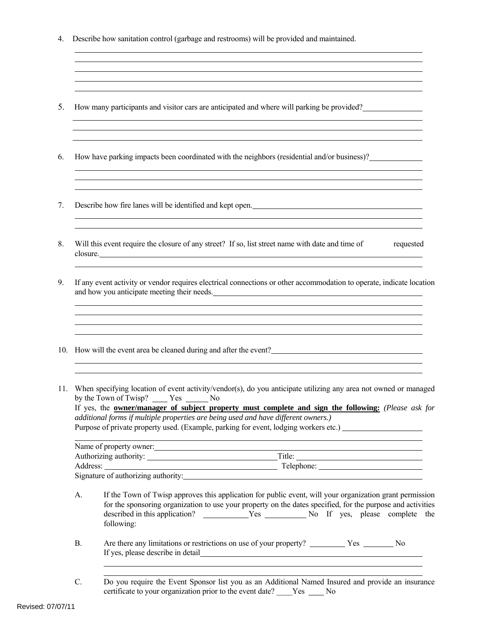- 4. Describe how sanitation control (garbage and restrooms) will be provided and maintained.
- 5. How many participants and visitor cars are anticipated and where will parking be provided?
- 6. How have parking impacts been coordinated with the neighbors (residential and/or business)?
- 7. Describe how fire lanes will be identified and kept open.

l

 $\overline{a}$ 

 $\overline{a}$ 

 $\overline{a}$ 

 $\overline{a}$ 

8. Will this event require the closure of any street? If so, list street name with date and time of requested closure.

and the control of the control of the control of the control of the control of the control of the control of the

- 9. If any event activity or vendor requires electrical connections or other accommodation to operate, indicate location and how you anticipate meeting their needs.
- 10. How will the event area be cleaned during and after the event?
- 11. When specifying location of event activity/vendor(s), do you anticipate utilizing any area not owned or managed by the Town of Twisp?  $Yes$   $No$  If yes, the **owner/manager of subject property must complete and sign the following:** *(Please ask for additional forms if multiple properties are being used and have different owners.)*  Purpose of private property used. (Example, parking for event, lodging workers etc.) \_\_\_\_\_\_\_\_\_\_\_\_\_\_\_\_\_\_\_\_\_\_\_\_\_

| Name of property owner:             |            |
|-------------------------------------|------------|
| Authorizing authority:              | Title:     |
| Address:                            | Telephone: |
| Signature of authorizing authority: |            |

- A. If the Town of Twisp approves this application for public event, will your organization grant permission for the sponsoring organization to use your property on the dates specified, for the purpose and activities described in this application? Nes No If yes, please complete the following:
- B. Are there any limitations or restrictions on use of your property? \_\_\_\_\_\_\_\_\_\_ Yes \_\_\_\_\_\_\_\_ No If yes, please describe in detail
- C. Do you require the Event Sponsor list you as an Additional Named Insured and provide an insurance certificate to your organization prior to the event date? No No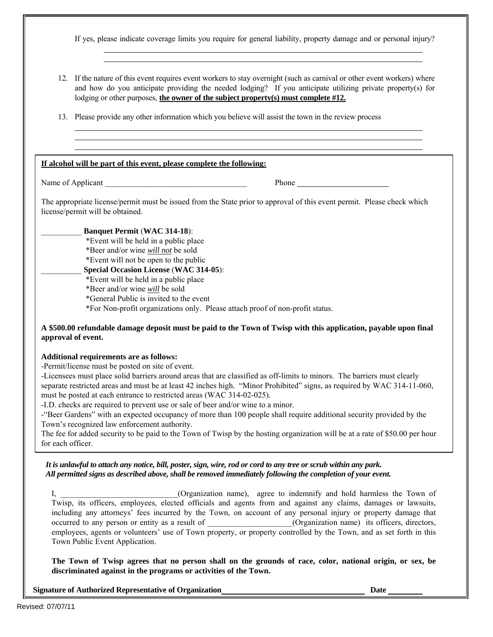If yes, please indicate coverage limits you require for general liability, property damage and or personal injury?

12. If the nature of this event requires event workers to stay overnight (such as carnival or other event workers) where and how do you anticipate providing the needed lodging? If you anticipate utilizing private property(s) for lodging or other purposes, **the owner of the subject property(s) must complete #12.**

13. Please provide any other information which you believe will assist the town in the review process

#### **If alcohol will be part of this event, please complete the following:**

Name of Applicant Theorem 2012 is the Second Phone Phone Phone Phone 2014

 $\overline{a}$  $\overline{a}$   $\overline{a}$  $\overline{a}$ 

The appropriate license/permit must be issued from the State prior to approval of this event permit. Please check which license/permit will be obtained.

#### \_\_\_\_\_\_\_\_\_\_ **Banquet Permit** (**WAC 314-18**):

\*Event will be held in a public place

\*Beer and/or wine *will not* be sold

\*Event will not be open to the public

## \_\_\_\_\_\_\_\_\_\_ **Special Occasion License** (**WAC 314-05**):

\*Event will be held in a public place

\*Beer and/or wine *will* be sold

\*General Public is invited to the event

\*For Non-profit organizations only. Please attach proof of non-profit status.

## **A \$500.00 refundable damage deposit must be paid to the Town of Twisp with this application, payable upon final approval of event.**

#### **Additional requirements are as follows:**

-Permit/license must be posted on site of event.

-Licensees must place solid barriers around areas that are classified as off-limits to minors. The barriers must clearly separate restricted areas and must be at least 42 inches high. "Minor Prohibited" signs, as required by WAC 314-11-060, must be posted at each entrance to restricted areas (WAC 314-02-025).

-I.D. checks are required to prevent use or sale of beer and/or wine to a minor.

-"Beer Gardens" with an expected occupancy of more than 100 people shall require additional security provided by the Town's recognized law enforcement authority.

The fee for added security to be paid to the Town of Twisp by the hosting organization will be at a rate of \$50.00 per hour for each officer.

## *It is unlawful to attach any notice, bill, poster, sign, wire, rod or cord to any tree or scrub within any park. All permitted signs as described above, shall be removed immediately following the completion of your event.*

I, \_\_\_\_\_\_\_\_\_\_\_\_\_\_\_\_\_\_\_\_\_\_\_\_\_\_\_\_\_(Organization name), agree to indemnify and hold harmless the Town of Twisp, its officers, employees, elected officials and agents from and against any claims, damages or lawsuits, including any attorneys' fees incurred by the Town, on account of any personal injury or property damage that occurred to any person or entity as a result of \_\_\_\_\_\_\_\_\_\_\_\_\_\_\_\_(Organization name) its officers, directors, employees, agents or volunteers' use of Town property, or property controlled by the Town, and as set forth in this Town Public Event Application.

**The Town of Twisp agrees that no person shall on the grounds of race, color, national origin, or sex, be discriminated against in the programs or activities of the Town.**

**Signature of Authorized Representative of Organization Date**